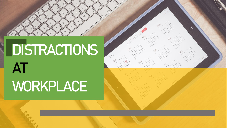# **DISTRACTIONS AT WORKPLACE**

 $\circ$ 

 $\bigcirc$ 

 $\infty$ 

 $\circ$ 

4

2016

 $\Diamond$ 

4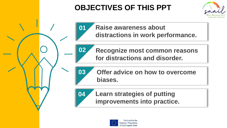# **OBJECTIVES OF THIS PPT**

**01**

**02**

**03**



**Raise awareness about distractions in work performance.**

**Recognize most common reasons for distractions and disorder.**

**Offer advice on how to overcome biases.**

#### **04 Learn strategies of putting improvements into practice.**

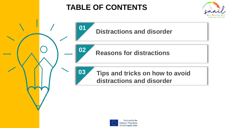# **TABLE OF CONTENTS**







**Reasons for distractions**



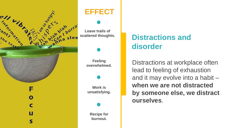

#### **EFFECT**

**Leave trails of**

**Feeling overwhelmed.**

**Work is unsatisfying.**

**Recipe for burnout.**

# **Distractions and disorder**

Distractions at workplace often lead to feeling of exhaustion and it may evolve into a habit – **when we are not distracted by someone else, we distract ourselves**.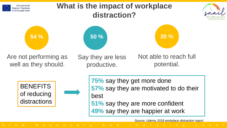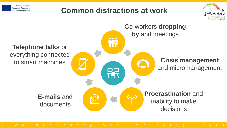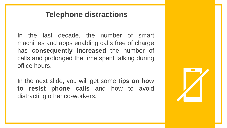#### **Telephone distractions**

In the last decade, the number of smart machines and apps enabling calls free of charge has **consequently increased** the number of calls and prolonged the time spent talking during office hours.

In the next slide, you will get some **tips on how to resist phone calls** and how to avoid distracting other co-workers.

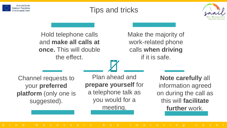



Hold telephone calls and **make all calls at once.** This will double the effect.

#### Make the majority of work-related phone calls **when driving** if it is safe.

Channel requests to your **preferred platform** (only one is suggested).

Plan ahead and **prepare yourself** for a telephone talk as you would for a meeting.

**Note carefully** all information agreed on during the call as this will **facilitate further** work.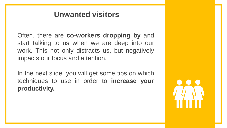#### **Unwanted visitors**

Often, there are **co-workers dropping by** and start talking to us when we are deep into our work. This not only distracts us, but negatively impacts our focus and attention.

In the next slide, you will get some tips on which techniques to use in order to **increase your productivity.**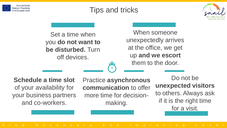



Set a time when you **do not want to be disturbed.** Turn off devices.

When someone unexpectedly arrives at the office, we get up **and we escort**  them to the door.

**Schedule a time slot** of your availability for your business partners and co-workers.

Practice **asynchronous communication** to offer more time for decisionmaking.

Do not be **unexpected visitors**  to others. Always ask if it is the right time for a visit.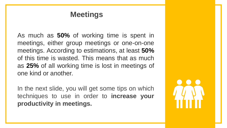#### **Meetings**

As much as **50%** of working time is spent in meetings, either group meetings or one-on-one meetings. According to estimations, at least **50%** of this time is wasted. This means that as much as **25%** of all working time is lost in meetings of one kind or another.

In the next slide, you will get some tips on which techniques to use in order to **increase your productivity in meetings.**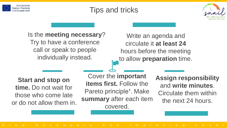



Is the **meeting necessary**? Try to have a conference call or speak to people individually instead.

Write an agenda and circulate it **at least 24**  hours before the meeting to allow **preparation** time.

**Start and stop on time.** Do not wait for those who come late or do not allow them in.

Cover the **important items first.** Follow the Pareto principle<sup>1</sup>. Make **summary** after each item covered.

**Assign responsibility** and **write minutes**. Circulate them within the next 24 hours.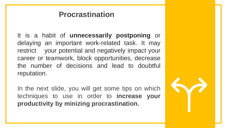#### **Procrastination**

It is a habit of **unnecessarily postponing** or delaying an important work-related task. It may restrict your potential and negatively impact your career or teamwork, block opportunities, decrease the number of decisions and lead to doubtful reputation.

In the next slide, you will get some tips on which techniques to use in order to **increase your productivity by minizing procrastination.**

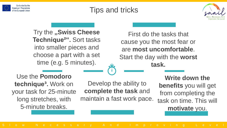



**Try the "Swiss Cheese Technique²".** Sort tasks into smaller pieces and choose a part with a set time (e.g. 5 minutes).

First do the tasks that cause you the most fear or are **most uncomfortable**. Start the day with the **worst task.**

Use the **Pomodoro**  technique<sup>3</sup>. Work on your task for 25-minute long stretches, with 5-minute breaks.

Develop the ability to **complete the task** and maintain a fast work pace.

**Write down the benefits** you will get from completing the task on time. This will **motivate** you.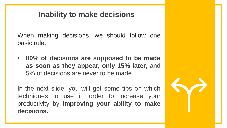#### **Inability to make decisions**

When making decisions, we should follow one basic rule:

• **80% of decisions are supposed to be made as soon as they appear, only 15% later**, and 5% of decisions are never to be made.

In the next slide, you will get some tips on which techniques to use in order to increase your productivity by **improving your ability to make decisions.**

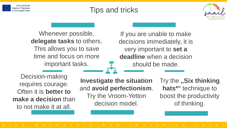



Whenever possible, **delegate tasks** to others. This allows you to save time and focus on more important tasks.

If you are unable to make decisions immediately, it is very important to **set a deadline** when a decision should be made.

Decision-making requires courage. Often it is **better to make a decision** than to not make it at all.

**Investigate the situation** and **avoid perfectionism**. Try the Vroom-Yetton decision model.

Try the "Six thinking hats<sup>4"</sup> *technique to* boost the productivity of thinking.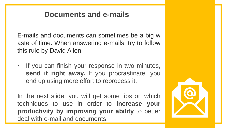#### **Documents and e-mails**

E-mails and documents can sometimes be a big w aste of time. When answering e-mails, try to follow this rule by David Allen:

• If you can finish your response in two minutes, **send it right away.** If you procrastinate, you end up using more effort to reprocess it.

In the next slide, you will get some tips on which techniques to use in order to **increase your productivity by improving your ability** to better deal with e-mail and documents.

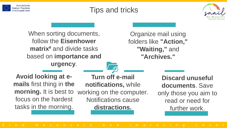



When sorting documents, follow the **Eisenhower matrix<sup>6</sup>** and divide tasks based on **importance and urgency**.

Organize mail using folders like **"Action," "Waiting,"** and **"Archives."**

**Avoid looking at emails** first thing in **the morning.** It is best to focus on the hardest tasks in the morning.

**Turn off e-mail notifications,** while working on the computer. Notifications cause **distractions.**

**Discard unuseful documents**. Save only those you aim to read or need for further work.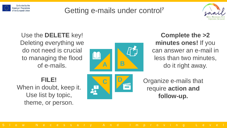

#### Getting e-mails under control<sup>7</sup>



Use the **DELETE** key! Deleting everything we do not need is crucial to managing the flood of e-mails.



**Complete the >2 minutes ones!** If you can answer an e-mail in less than two minutes, do it right away.

#### **FILE!**

When in doubt, keep it. Use list by topic, theme, or person.



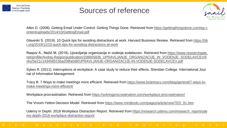

#### Sources of reference



Allen D. (2008). Getting Email Under Control. Getting Things Done. Retrieved from https://gettingthingsdone.com/wp-c [ontent/uploads/2014/10/GettingEmail.pdf](https://gettingthingsdone.com/wp-content/uploads/2014/10/GettingEmail.pdf)

Glaveski S. (2019). 10 Quick tips for avoiding distractions at work. Harvard Business Review. Retrieved from https://hb [r.org/2019/12/10-quick-tips-for-avoiding-distractions-at-work](https://hbr.org/2019/12/10-quick-tips-for-avoiding-distractions-at-work)

Raspor A., Nežič M. (2019). Upravljanje organizacije in vodenje sodelavcev. Retrieved from https://www.researchgate. [net/profile/Andrej-Raspor/publication/338655836\\_UPRAVLJANJE\\_ORGANIZACIJE\\_IN\\_VODENJE\\_SODELAVCEV/li](https://www.researchgate.net/profile/Andrej-Raspor/publication/338655836_UPRAVLJANJE_ORGANIZACIJE_IN_VODENJE_SODELAVCEV/links/5e21c143458515ba208fa0d8/UPRAVLJANJE-ORGANIZACIJE-IN-VODENJE-SODELAVCEV.pdf) nks/5e21c143458515ba208fa0d8/UPRAVLJANJE-ORGANIZACIJE-IN-VODENJE-SODELAVCEV.pdf

Sykes R. (2011). Interruptions at workplace: A case study to reduce their effects. Sheridan College. International Jour nal of Information Management

Tracy B. 7 Ways to make meetings more efficient. Retrieved from [https://www.briantracy.com/blog/general/7-ways-to](https://www.briantracy.com/blog/general/7-ways-to-make-meetings-more-efficient/)make-meetings-more-efficient/

Workplace procrastination. Retrieved from <https://solvingprocrastination.com/workplace-procrastination/>

The Vroom-Yetton Decision Model. Retrieved from [https://www.mindtools.com/pages/article/newTED\\_91.htm](https://www.mindtools.com/pages/article/newTED_91.htm)

Udemy in Depth: 2018 Workplace Distraction Report. Retrieved from [https://research.udemy.com/research\\_report/ude](https://research.udemy.com/research_report/udemy-depth-2018-workplace-distraction-report/) my-depth-2018-workplace-distraction-report/